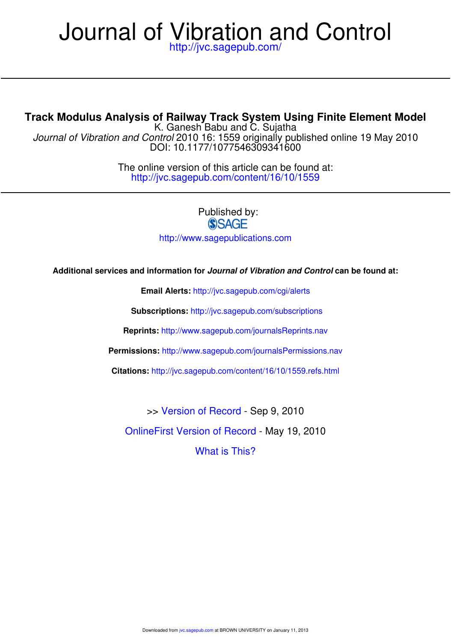# http://jvc.sagepub.com/ Journal of Vibration and Control

# **Track Modulus Analysis of Railway Track System Using Finite Element Model**

DOI: 10.1177/1077546309341600 Journal of Vibration and Control 2010 16: 1559 originally published online 19 May 2010 K. Ganesh Babu and C. Sujatha

> http://jvc.sagepub.com/content/16/10/1559 The online version of this article can be found at:

> > Published by: **SSAGE** http://www.sagepublications.com

**Additional services and information for Journal of Vibration and Control can be found at:**

**Email Alerts:** http://jvc.sagepub.com/cgi/alerts

**Subscriptions:** http://jvc.sagepub.com/subscriptions

**Reprints:** http://www.sagepub.com/journalsReprints.nav

**Permissions:** http://www.sagepub.com/journalsPermissions.nav

**Citations:** http://jvc.sagepub.com/content/16/10/1559.refs.html

>> Version of Record - Sep 9, 2010

OnlineFirst Version of Record - May 19, 2010

What is This?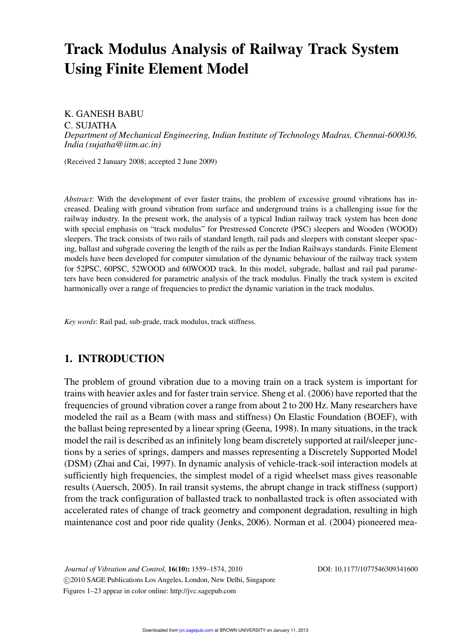# **Track Modulus Analysis of Railway Track System Using Finite Element Model**

K. GANESH BABU

C. SUJATHA

*Department of Mechanical Engineering, Indian Institute of Technology Madras, Chennai-600036, India (sujatha@iitm.ac.in)*

(Received 2 January 2008; accepted 2 June 2009)

*Abstract*: With the development of ever faster trains, the problem of excessive ground vibrations has increased. Dealing with ground vibration from surface and underground trains is a challenging issue for the railway industry. In the present work, the analysis of a typical Indian railway track system has been done with special emphasis on "track modulus" for Prestressed Concrete (PSC) sleepers and Wooden (WOOD) sleepers. The track consists of two rails of standard length, rail pads and sleepers with constant sleeper spacing, ballast and subgrade covering the length of the rails as per the Indian Railways standards. Finite Element models have been developed for computer simulation of the dynamic behaviour of the railway track system for 52PSC, 60PSC, 52WOOD and 60WOOD track. In this model, subgrade, ballast and rail pad parameters have been considered for parametric analysis of the track modulus. Finally the track system is excited harmonically over a range of frequencies to predict the dynamic variation in the track modulus.

*Key words*: Rail pad, sub-grade, track modulus, track stiffness.

# **1. INTRODUCTION**

The problem of ground vibration due to a moving train on a track system is important for trains with heavier axles and for faster train service. Sheng et al. (2006) have reported that the frequencies of ground vibration cover a range from about 2 to 200 Hz. Many researchers have modeled the rail as a Beam (with mass and stiffness) On Elastic Foundation (BOEF), with the ballast being represented by a linear spring (Geena, 1998). In many situations, in the track model the rail is described as an infinitely long beam discretely supported at rail/sleeper junctions by a series of springs, dampers and masses representing a Discretely Supported Model (DSM) (Zhai and Cai, 1997). In dynamic analysis of vehicle-track-soil interaction models at sufficiently high frequencies, the simplest model of a rigid wheelset mass gives reasonable results (Auersch, 2005). In rail transit systems, the abrupt change in track stiffness (support) from the track configuration of ballasted track to nonballasted track is often associated with accelerated rates of change of track geometry and component degradation, resulting in high maintenance cost and poor ride quality (Jenks, 2006). Norman et al. (2004) pioneered mea-

*Journal of Vibration and Control,* **16(10):** 1559–1574, 2010 DOI: 10.1177/1077546309341600 - 2010 SAGE Publications Los Angeles, London, New Delhi, Singapore Figures 1–23 appear in color online: http://jvc.sagepub.com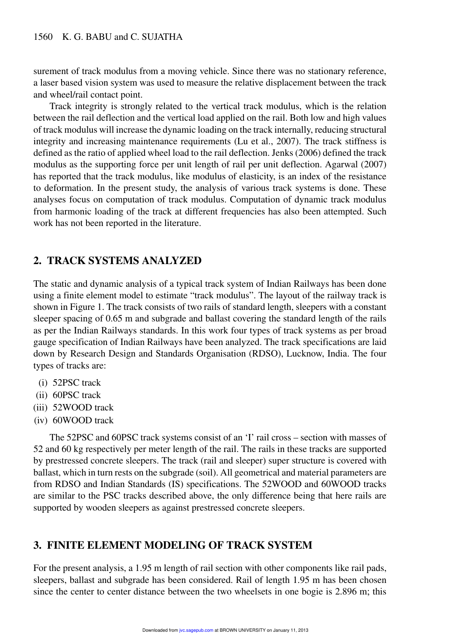surement of track modulus from a moving vehicle. Since there was no stationary reference, a laser based vision system was used to measure the relative displacement between the track and wheel/rail contact point.

Track integrity is strongly related to the vertical track modulus, which is the relation between the rail deflection and the vertical load applied on the rail. Both low and high values of track modulus will increase the dynamic loading on the track internally, reducing structural integrity and increasing maintenance requirements (Lu et al., 2007). The track stiffness is defined as the ratio of applied wheel load to the rail deflection. Jenks (2006) defined the track modulus as the supporting force per unit length of rail per unit deflection. Agarwal (2007) has reported that the track modulus, like modulus of elasticity, is an index of the resistance to deformation. In the present study, the analysis of various track systems is done. These analyses focus on computation of track modulus. Computation of dynamic track modulus from harmonic loading of the track at different frequencies has also been attempted. Such work has not been reported in the literature.

# **2. TRACK SYSTEMS ANALYZED**

The static and dynamic analysis of a typical track system of Indian Railways has been done using a finite element model to estimate "track modulus". The layout of the railway track is shown in Figure 1. The track consists of two rails of standard length, sleepers with a constant sleeper spacing of 0.65 m and subgrade and ballast covering the standard length of the rails as per the Indian Railways standards. In this work four types of track systems as per broad gauge specification of Indian Railways have been analyzed. The track specifications are laid down by Research Design and Standards Organisation (RDSO), Lucknow, India. The four types of tracks are:

- (i) 52PSC track
- (ii) 60PSC track
- (iii) 52WOOD track
- (iv) 60WOOD track

The 52PSC and 60PSC track systems consist of an 'I' rail cross – section with masses of 52 and 60 kg respectively per meter length of the rail. The rails in these tracks are supported by prestressed concrete sleepers. The track (rail and sleeper) super structure is covered with ballast, which in turn rests on the subgrade (soil). All geometrical and material parameters are from RDSO and Indian Standards (IS) specifications. The 52WOOD and 60WOOD tracks are similar to the PSC tracks described above, the only difference being that here rails are supported by wooden sleepers as against prestressed concrete sleepers.

# **3. FINITE ELEMENT MODELING OF TRACK SYSTEM**

For the present analysis, a 1.95 m length of rail section with other components like rail pads, sleepers, ballast and subgrade has been considered. Rail of length 1.95 m has been chosen since the center to center distance between the two wheelsets in one bogie is 2.896 m; this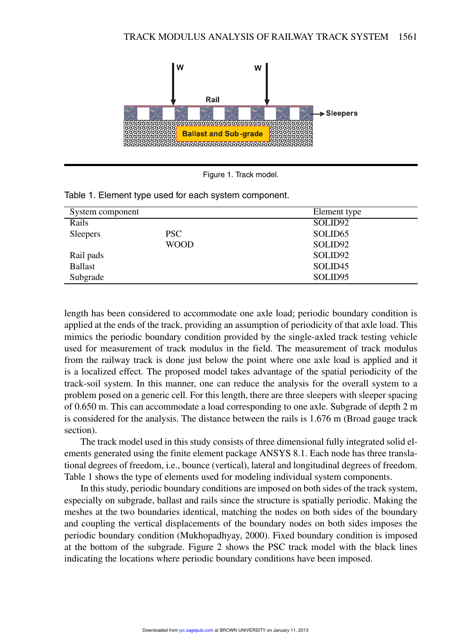



| System component |             | Element type        |  |
|------------------|-------------|---------------------|--|
| Rails            |             | SOLID <sub>92</sub> |  |
| <b>Sleepers</b>  | PSC.        | SOLID <sub>65</sub> |  |
|                  | <b>WOOD</b> | SOLID <sub>92</sub> |  |
| Rail pads        |             | SOLID <sub>92</sub> |  |
| <b>Ballast</b>   |             | SOLID <sub>45</sub> |  |
| Subgrade         |             | SOLID <sub>95</sub> |  |

Table 1. Element type used for each system component.

length has been considered to accommodate one axle load; periodic boundary condition is applied at the ends of the track, providing an assumption of periodicity of that axle load. This mimics the periodic boundary condition provided by the single-axled track testing vehicle used for measurement of track modulus in the field. The measurement of track modulus from the railway track is done just below the point where one axle load is applied and it is a localized effect. The proposed model takes advantage of the spatial periodicity of the track-soil system. In this manner, one can reduce the analysis for the overall system to a problem posed on a generic cell. For this length, there are three sleepers with sleeper spacing of 0.650 m. This can accommodate a load corresponding to one axle. Subgrade of depth 2 m is considered for the analysis. The distance between the rails is 1.676 m (Broad gauge track section).

The track model used in this study consists of three dimensional fully integrated solid elements generated using the finite element package ANSYS 8.1. Each node has three translational degrees of freedom, i.e., bounce (vertical), lateral and longitudinal degrees of freedom. Table 1 shows the type of elements used for modeling individual system components.

In this study, periodic boundary conditions are imposed on both sides of the track system, especially on subgrade, ballast and rails since the structure is spatially periodic. Making the meshes at the two boundaries identical, matching the nodes on both sides of the boundary and coupling the vertical displacements of the boundary nodes on both sides imposes the periodic boundary condition (Mukhopadhyay, 2000). Fixed boundary condition is imposed at the bottom of the subgrade. Figure 2 shows the PSC track model with the black lines indicating the locations where periodic boundary conditions have been imposed.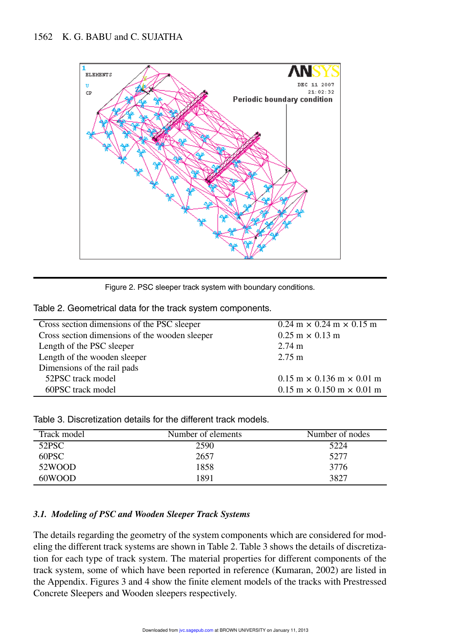

Figure 2. PSC sleeper track system with boundary conditions.

Table 2. Geometrical data for the track system components.

| Cross section dimensions of the PSC sleeper    | $0.24 \text{ m} \times 0.24 \text{ m} \times 0.15 \text{ m}$  |  |  |
|------------------------------------------------|---------------------------------------------------------------|--|--|
| Cross section dimensions of the wooden sleeper | $0.25 \text{ m} \times 0.13 \text{ m}$                        |  |  |
| Length of the PSC sleeper                      | $2.74 \text{ m}$                                              |  |  |
| Length of the wooden sleeper                   | $2.75 \text{ m}$                                              |  |  |
| Dimensions of the rail pads                    |                                                               |  |  |
| 52PSC track model                              | $0.15 \text{ m} \times 0.136 \text{ m} \times 0.01 \text{ m}$ |  |  |
| 60PSC track model                              | $0.15 \text{ m} \times 0.150 \text{ m} \times 0.01 \text{ m}$ |  |  |

Table 3. Discretization details for the different track models.

| Track model | Number of elements | Number of nodes |  |
|-------------|--------------------|-----------------|--|
| 52PSC       | 2590               | 5224            |  |
| 60PSC       | 2657               | 5277            |  |
| 52WOOD      | 1858               | 3776            |  |
| 60WOOD      | 1891               | 3827            |  |

# *3.1. Modeling of PSC and Wooden Sleeper Track Systems*

The details regarding the geometry of the system components which are considered for modeling the different track systems are shown in Table 2. Table 3 shows the details of discretization for each type of track system. The material properties for different components of the track system, some of which have been reported in reference (Kumaran, 2002) are listed in the Appendix. Figures 3 and 4 show the finite element models of the tracks with Prestressed Concrete Sleepers and Wooden sleepers respectively.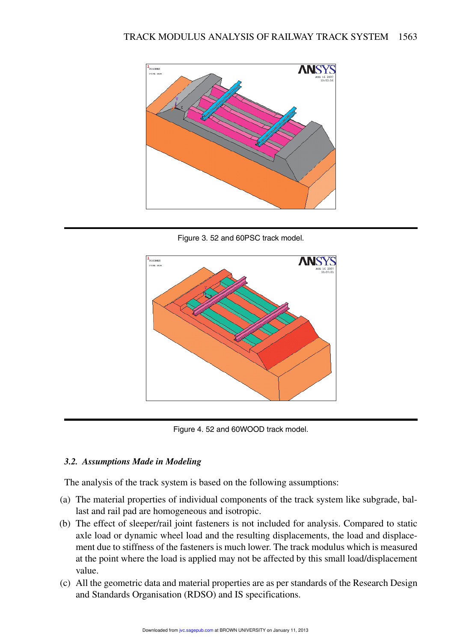

Figure 3. 52 and 60PSC track model.





# *3.2. Assumptions Made in Modeling*

The analysis of the track system is based on the following assumptions:

- (a) The material properties of individual components of the track system like subgrade, ballast and rail pad are homogeneous and isotropic.
- (b) The effect of sleeper/rail joint fasteners is not included for analysis. Compared to static axle load or dynamic wheel load and the resulting displacements, the load and displacement due to stiffness of the fasteners is much lower. The track modulus which is measured at the point where the load is applied may not be affected by this small load/displacement value.
- (c) All the geometric data and material properties are as per standards of the Research Design and Standards Organisation (RDSO) and IS specifications.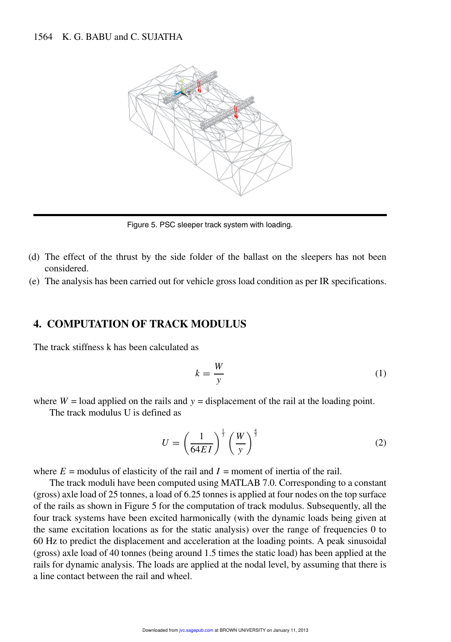

Figure 5. PSC sleeper track system with loading.

- (d) The effect of the thrust by the side folder of the ballast on the sleepers has not been considered.
- (e) The analysis has been carried out for vehicle gross load condition as per IR specifications.

# **4. COMPUTATION OF TRACK MODULUS**

The track stiffness k has been calculated as

$$
k = \frac{W}{y} \tag{1}
$$

where  $W =$  load applied on the rails and  $y =$  displacement of the rail at the loading point.

The track modulus U is defined as

$$
U = \left(\frac{1}{64EI}\right)^{\frac{1}{3}} \left(\frac{W}{y}\right)^{\frac{4}{3}}
$$
 (2)

where  $E =$  modulus of elasticity of the rail and  $I =$  moment of inertia of the rail.

The track moduli have been computed using MATLAB 7.0. Corresponding to a constant (gross) axle load of 25 tonnes, a load of 6.25 tonnes is applied at four nodes on the top surface of the rails as shown in Figure 5 for the computation of track modulus. Subsequently, all the four track systems have been excited harmonically (with the dynamic loads being given at the same excitation locations as for the static analysis) over the range of frequencies 0 to 60 Hz to predict the displacement and acceleration at the loading points. A peak sinusoidal (gross) axle load of 40 tonnes (being around 1.5 times the static load) has been applied at the rails for dynamic analysis. The loads are applied at the nodal level, by assuming that there is a line contact between the rail and wheel.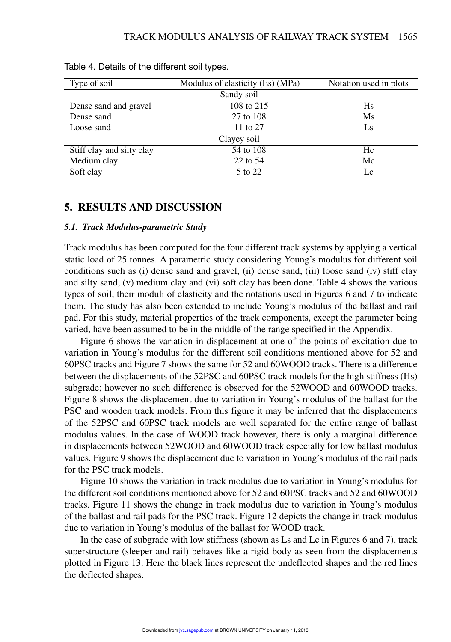| Type of soil              | Modulus of elasticity (Es) (MPa) | Notation used in plots |  |  |  |  |
|---------------------------|----------------------------------|------------------------|--|--|--|--|
| Sandy soil                |                                  |                        |  |  |  |  |
| Dense sand and gravel     | 108 to 215                       | Hs                     |  |  |  |  |
| Dense sand                | 27 to 108                        | Ms                     |  |  |  |  |
| Loose sand                | 11 to 27                         | Ls                     |  |  |  |  |
| Clayey soil               |                                  |                        |  |  |  |  |
| Stiff clay and silty clay | 54 to 108                        | Hc                     |  |  |  |  |
| Medium clay               | 22 to 54                         | Mc                     |  |  |  |  |
| Soft clay                 | 5 to 22                          | Lc                     |  |  |  |  |

Table 4. Details of the different soil types.

### **5. RESULTS AND DISCUSSION**

#### *5.1. Track Modulus-parametric Study*

Track modulus has been computed for the four different track systems by applying a vertical static load of 25 tonnes. A parametric study considering Young's modulus for different soil conditions such as (i) dense sand and gravel, (ii) dense sand, (iii) loose sand (iv) stiff clay and silty sand, (v) medium clay and (vi) soft clay has been done. Table 4 shows the various types of soil, their moduli of elasticity and the notations used in Figures 6 and 7 to indicate them. The study has also been extended to include Young's modulus of the ballast and rail pad. For this study, material properties of the track components, except the parameter being varied, have been assumed to be in the middle of the range specified in the Appendix.

Figure 6 shows the variation in displacement at one of the points of excitation due to variation in Young's modulus for the different soil conditions mentioned above for 52 and 60PSC tracks and Figure 7 shows the same for 52 and 60WOOD tracks. There is a difference between the displacements of the 52PSC and 60PSC track models for the high stiffness (Hs) subgrade; however no such difference is observed for the 52WOOD and 60WOOD tracks. Figure 8 shows the displacement due to variation in Young's modulus of the ballast for the PSC and wooden track models. From this figure it may be inferred that the displacements of the 52PSC and 60PSC track models are well separated for the entire range of ballast modulus values. In the case of WOOD track however, there is only a marginal difference in displacements between 52WOOD and 60WOOD track especially for low ballast modulus values. Figure 9 shows the displacement due to variation in Young's modulus of the rail pads for the PSC track models.

Figure 10 shows the variation in track modulus due to variation in Young's modulus for the different soil conditions mentioned above for 52 and 60PSC tracks and 52 and 60WOOD tracks. Figure 11 shows the change in track modulus due to variation in Young's modulus of the ballast and rail pads for the PSC track. Figure 12 depicts the change in track modulus due to variation in Young's modulus of the ballast for WOOD track.

In the case of subgrade with low stiffness (shown as Ls and Lc in Figures 6 and 7), track superstructure (sleeper and rail) behaves like a rigid body as seen from the displacements plotted in Figure 13. Here the black lines represent the undeflected shapes and the red lines the deflected shapes.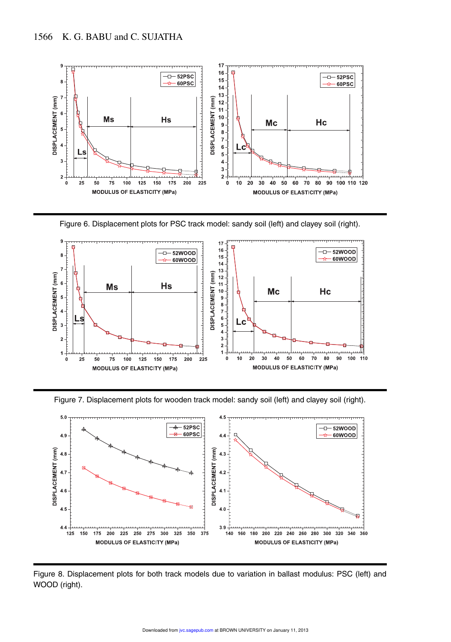

Figure 6. Displacement plots for PSC track model: sandy soil (left) and clayey soil (right).







Figure 8. Displacement plots for both track models due to variation in ballast modulus: PSC (left) and WOOD (right).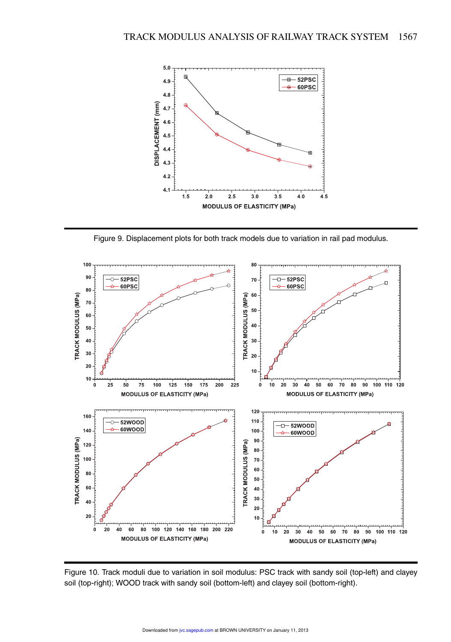

Figure 9. Displacement plots for both track models due to variation in rail pad modulus.



Figure 10. Track moduli due to variation in soil modulus: PSC track with sandy soil (top-left) and clayey soil (top-right); WOOD track with sandy soil (bottom-left) and clayey soil (bottom-right).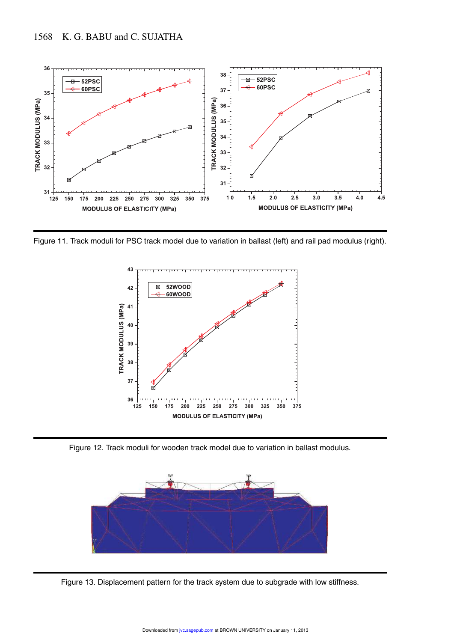

Figure 11. Track moduli for PSC track model due to variation in ballast (left) and rail pad modulus (right).



Figure 12. Track moduli for wooden track model due to variation in ballast modulus.



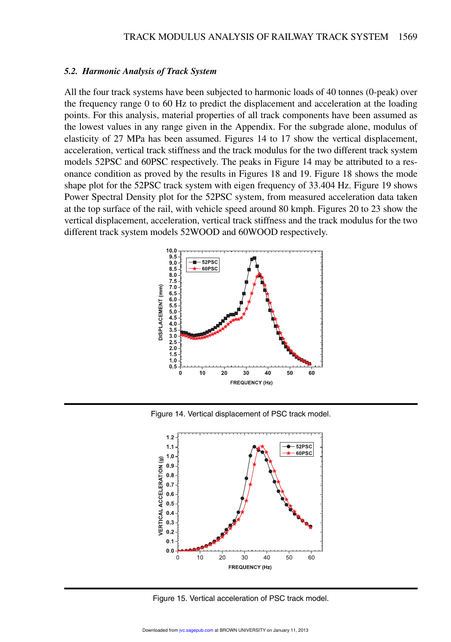#### *5.2. Harmonic Analysis of Track System*

All the four track systems have been subjected to harmonic loads of 40 tonnes (0-peak) over the frequency range 0 to 60 Hz to predict the displacement and acceleration at the loading points. For this analysis, material properties of all track components have been assumed as the lowest values in any range given in the Appendix. For the subgrade alone, modulus of elasticity of 27 MPa has been assumed. Figures 14 to 17 show the vertical displacement, acceleration, vertical track stiffness and the track modulus for the two different track system models 52PSC and 60PSC respectively. The peaks in Figure 14 may be attributed to a resonance condition as proved by the results in Figures 18 and 19. Figure 18 shows the mode shape plot for the 52PSC track system with eigen frequency of 33.404 Hz. Figure 19 shows Power Spectral Density plot for the 52PSC system, from measured acceleration data taken at the top surface of the rail, with vehicle speed around 80 kmph. Figures 20 to 23 show the vertical displacement, acceleration, vertical track stiffness and the track modulus for the two different track system models 52WOOD and 60WOOD respectively.



Figure 14. Vertical displacement of PSC track model.



Figure 15. Vertical acceleration of PSC track model.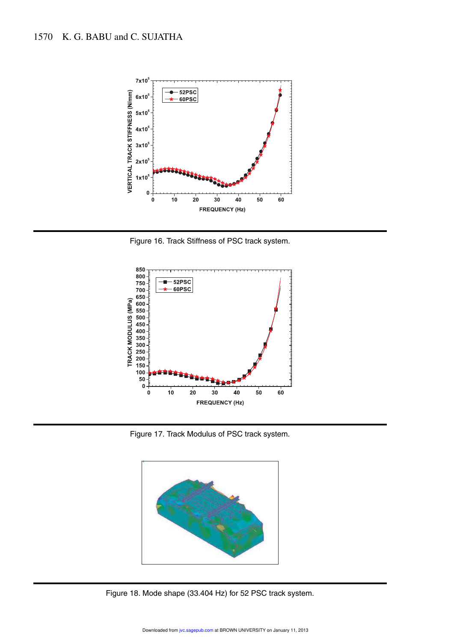

Figure 16. Track Stiffness of PSC track system.



Figure 17. Track Modulus of PSC track system.



Figure 18. Mode shape (33.404 Hz) for 52 PSC track system.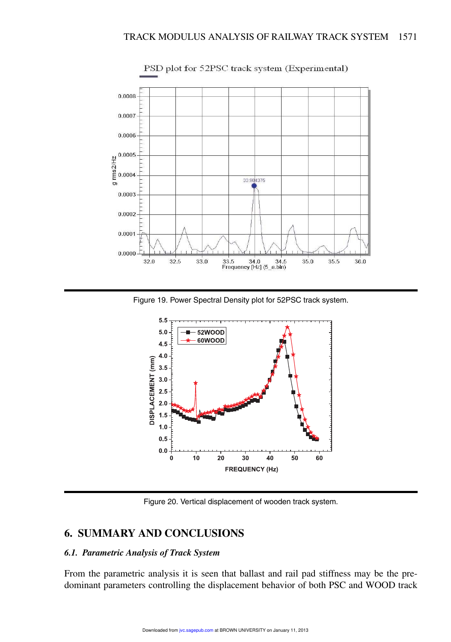

PSD plot for 52PSC track system (Experimental)

Figure 19. Power Spectral Density plot for 52PSC track system.



Figure 20. Vertical displacement of wooden track system.

# **6. SUMMARY AND CONCLUSIONS**

# *6.1. Parametric Analysis of Track System*

From the parametric analysis it is seen that ballast and rail pad stiffness may be the predominant parameters controlling the displacement behavior of both PSC and WOOD track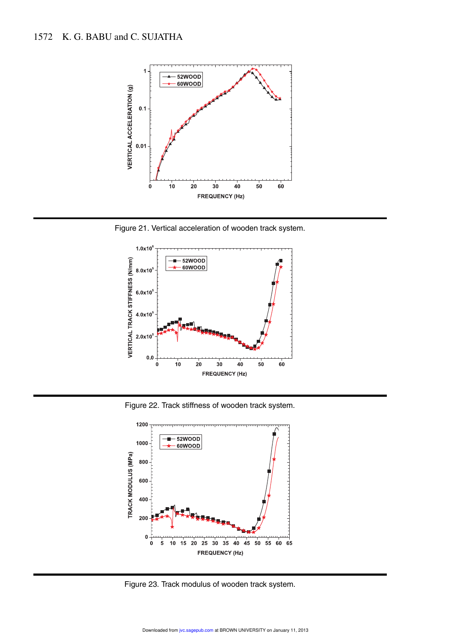

Figure 21. Vertical acceleration of wooden track system.



Figure 22. Track stiffness of wooden track system.



Figure 23. Track modulus of wooden track system.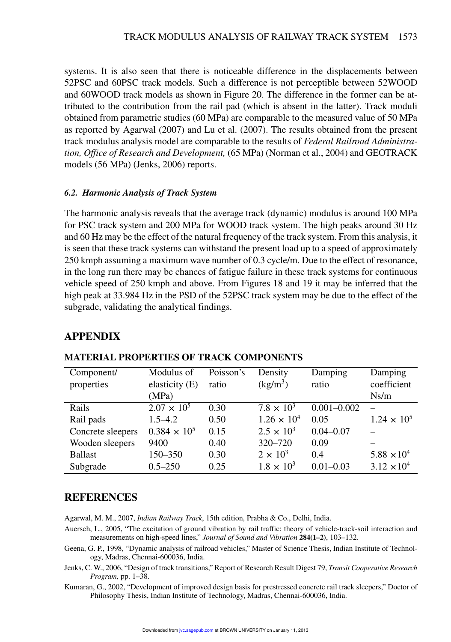systems. It is also seen that there is noticeable difference in the displacements between 52PSC and 60PSC track models. Such a difference is not perceptible between 52WOOD and 60WOOD track models as shown in Figure 20. The difference in the former can be attributed to the contribution from the rail pad (which is absent in the latter). Track moduli obtained from parametric studies (60 MPa) are comparable to the measured value of 50 MPa as reported by Agarwal (2007) and Lu et al. (2007). The results obtained from the present track modulus analysis model are comparable to the results of *Federal Railroad Administration, Office of Research and Development,* (65 MPa) (Norman et al., 2004) and GEOTRACK models (56 MPa) (Jenks, 2006) reports.

### *6.2. Harmonic Analysis of Track System*

The harmonic analysis reveals that the average track (dynamic) modulus is around 100 MPa for PSC track system and 200 MPa for WOOD track system. The high peaks around 30 Hz and 60 Hz may be the effect of the natural frequency of the track system. From this analysis, it is seen that these track systems can withstand the present load up to a speed of approximately 250 kmph assuming a maximum wave number of 0.3 cycle/m. Due to the effect of resonance, in the long run there may be chances of fatigue failure in these track systems for continuous vehicle speed of 250 kmph and above. From Figures 18 and 19 it may be inferred that the high peak at 33.984 Hz in the PSD of the 52PSC track system may be due to the effect of the subgrade, validating the analytical findings.

# **APPENDIX**

| Component/        | Modulus of           | Poisson's | Density              | Damping         | Damping              |
|-------------------|----------------------|-----------|----------------------|-----------------|----------------------|
| properties        | elasticity (E)       | ratio     | $(kg/m^3)$           | ratio           | coefficient          |
|                   | (MPa)                |           |                      |                 | Ns/m                 |
| Rails             | $2.07 \times 10^{5}$ | 0.30      | $7.8 \times 10^{3}$  | $0.001 - 0.002$ |                      |
| Rail pads         | $1.5 - 4.2$          | 0.50      | $1.26 \times 10^{4}$ | 0.05            | $1.24 \times 10^{5}$ |
| Concrete sleepers | $0.384 \times 10^5$  | 0.15      | $2.5 \times 10^{3}$  | $0.04 - 0.07$   |                      |
| Wooden sleepers   | 9400                 | 0.40      | 320-720              | 0.09            |                      |
| <b>Ballast</b>    | 150-350              | 0.30      | $2 \times 10^3$      | 0.4             | $5.88 \times 10^{4}$ |
| Subgrade          | $0.5 - 250$          | 0.25      | $1.8 \times 10^{3}$  | $0.01 - 0.03$   | $3.12 \times 10^{4}$ |

# **MATERIAL PROPERTIES OF TRACK COMPONENTS**

# **REFERENCES**

Agarwal, M. M., 2007, *Indian Railway Track*, 15th edition, Prabha & Co., Delhi, India.

- Auersch, L., 2005, "The excitation of ground vibration by rail traffic: theory of vehicle-track-soil interaction and measurements on high-speed lines," *Journal of Sound and Vibration* **284(1–2)**, 103–132.
- Geena, G. P., 1998, "Dynamic analysis of railroad vehicles," Master of Science Thesis, Indian Institute of Technology, Madras, Chennai-600036, India.
- Jenks, C. W., 2006, "Design of track transitions," Report of Research Result Digest 79, *Transit Cooperative Research Program,* pp. 1–38.
- Kumaran, G., 2002, "Development of improved design basis for prestressed concrete rail track sleepers," Doctor of Philosophy Thesis, Indian Institute of Technology, Madras, Chennai-600036, India.